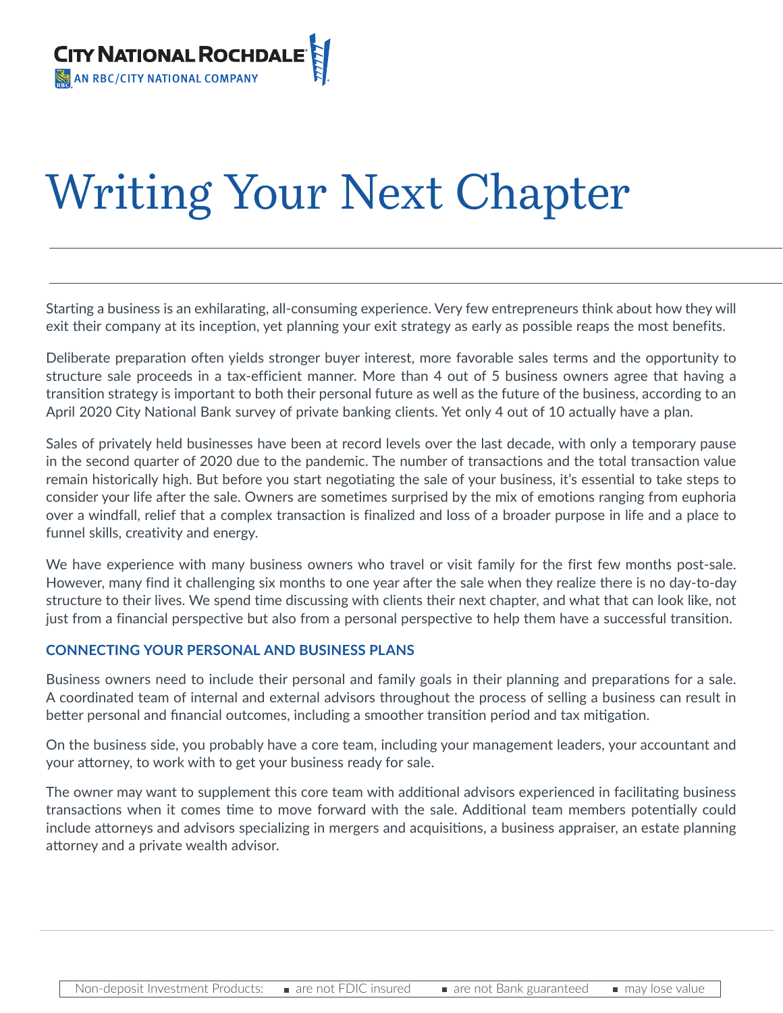

# Writing Your Next Chapter

# *HOW TO DEVELOP A SUCCESSFUL EXIT STRATEGY*

Starting a business is an exhilarating, all-consuming experience. Very few entrepreneurs think about how they will exit their company at its inception, yet planning your exit strategy as early as possible reaps the most benefits.

Deliberate preparation often yields stronger buyer interest, more favorable sales terms and the opportunity to structure sale proceeds in a tax-efficient manner. More than 4 out of 5 business owners agree that having a transition strategy is important to both their personal future as well as the future of the business, according to an April 2020 City National Bank survey of private banking clients. Yet only 4 out of 10 actually have a plan.

Sales of privately held businesses have been at record levels over the last decade, with only a temporary pause in the second quarter of 2020 due to the pandemic. The number of transactions and the total transaction value remain historically high. But before you start negotiating the sale of your business, it's essential to take steps to consider your life after the sale. Owners are sometimes surprised by the mix of emotions ranging from euphoria over a windfall, relief that a complex transaction is finalized and loss of a broader purpose in life and a place to funnel skills, creativity and energy.

We have experience with many business owners who travel or visit family for the first few months post-sale. However, many find it challenging six months to one year after the sale when they realize there is no day-to-day structure to their lives. We spend time discussing with clients their next chapter, and what that can look like, not just from a financial perspective but also from a personal perspective to help them have a successful transition.

### **CONNECTING YOUR PERSONAL AND BUSINESS PLANS**

Business owners need to include their personal and family goals in their planning and preparations for a sale. A coordinated team of internal and external advisors throughout the process of selling a business can result in better personal and financial outcomes, including a smoother transition period and tax mitigation.

On the business side, you probably have a core team, including your management leaders, your accountant and your attorney, to work with to get your business ready for sale.

The owner may want to supplement this core team with additional advisors experienced in facilitating business transactions when it comes time to move forward with the sale. Additional team members potentially could include attorneys and advisors specializing in mergers and acquisitions, a business appraiser, an estate planning attorney and a private wealth advisor.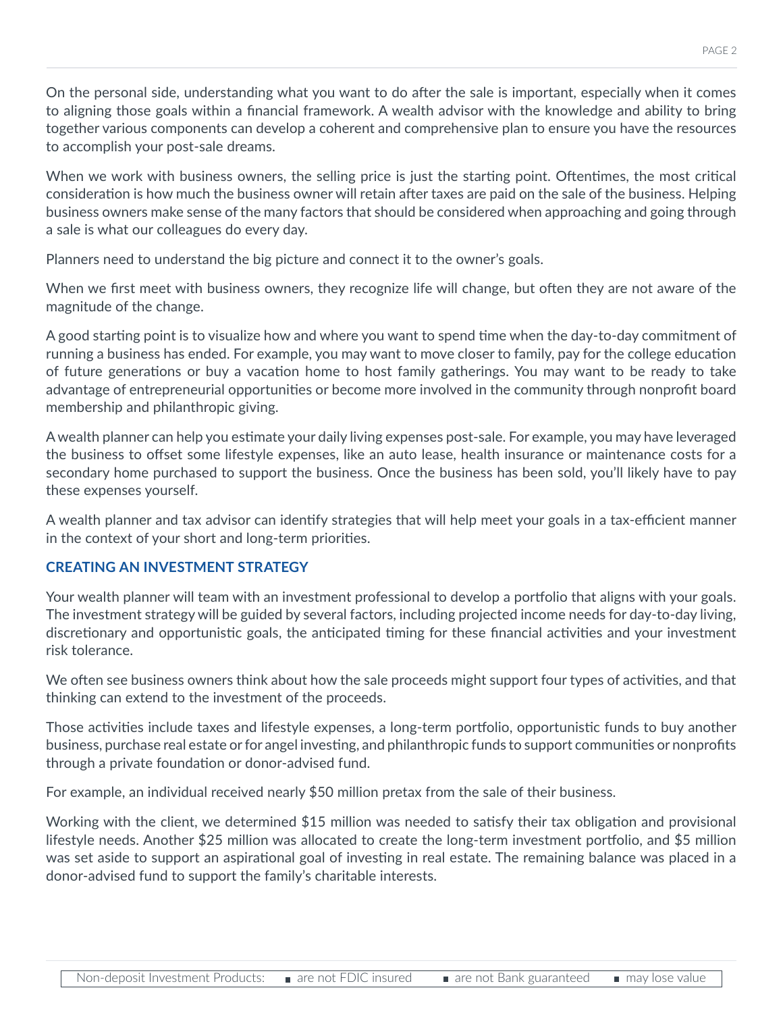On the personal side, understanding what you want to do after the sale is important, especially when it comes to aligning those goals within a financial framework. A wealth advisor with the knowledge and ability to bring together various components can develop a coherent and comprehensive plan to ensure you have the resources to accomplish your post-sale dreams.

When we work with business owners, the selling price is just the starting point. Oftentimes, the most critical consideration is how much the business owner will retain after taxes are paid on the sale of the business. Helping business owners make sense of the many factors that should be considered when approaching and going through a sale is what our colleagues do every day.

Planners need to understand the big picture and connect it to the owner's goals.

When we first meet with business owners, they recognize life will change, but often they are not aware of the magnitude of the change.

A good starting point is to visualize how and where you want to spend time when the day-to-day commitment of running a business has ended. For example, you may want to move closer to family, pay for the college education of future generations or buy a vacation home to host family gatherings. You may want to be ready to take advantage of entrepreneurial opportunities or become more involved in the community through nonprofit board membership and philanthropic giving.

A wealth planner can help you estimate your daily living expenses post-sale. For example, you may have leveraged the business to offset some lifestyle expenses, like an auto lease, health insurance or maintenance costs for a secondary home purchased to support the business. Once the business has been sold, you'll likely have to pay these expenses yourself.

A wealth planner and tax advisor can identify strategies that will help meet your goals in a tax-efficient manner in the context of your short and long-term priorities.

## **CREATING AN INVESTMENT STRATEGY**

Your wealth planner will team with an investment professional to develop a portfolio that aligns with your goals. The investment strategy will be guided by several factors, including projected income needs for day-to-day living, discretionary and opportunistic goals, the anticipated timing for these financial activities and your investment risk tolerance.

We often see business owners think about how the sale proceeds might support four types of activities, and that thinking can extend to the investment of the proceeds.

Those activities include taxes and lifestyle expenses, a long-term portfolio, opportunistic funds to buy another business, purchase real estate or for angel investing, and philanthropic funds to support communities or nonprofits through a private foundation or donor-advised fund.

For example, an individual received nearly \$50 million pretax from the sale of their business.

Working with the client, we determined \$15 million was needed to satisfy their tax obligation and provisional lifestyle needs. Another \$25 million was allocated to create the long-term investment portfolio, and \$5 million was set aside to support an aspirational goal of investing in real estate. The remaining balance was placed in a donor-advised fund to support the family's charitable interests.